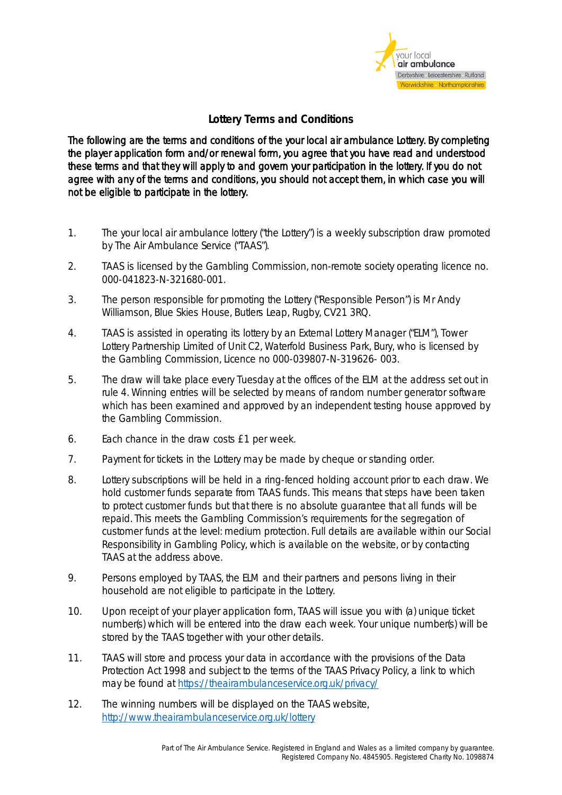

## **Lottery Terms and Conditions**

The following are the terms and conditions of the your local air ambulance Lottery. By completing the player application form and/or renewal form, you agree that you have read and understood these terms and that they will apply to and govern your participation in the lottery. If you do not agree with any of the terms and conditions, you should not accept them, in which case you will not be eligible to participate in the lottery.

- 1. The your local air ambulance lottery ("the Lottery") is a weekly subscription draw promoted by The Air Ambulance Service ("TAAS").
- 2. TAAS is licensed by the Gambling Commission, non-remote society operating licence no. 000-041823-N-321680-001.
- 3. The person responsible for promoting the Lottery ("Responsible Person") is Mr Andy Williamson, Blue Skies House, Butlers Leap, Rugby, CV21 3RQ.
- 4. TAAS is assisted in operating its lottery by an External Lottery Manager ("ELM"), Tower Lottery Partnership Limited of Unit C2, Waterfold Business Park, Bury, who is licensed by the Gambling Commission, Licence no 000-039807-N-319626- 003.
- 5. The draw will take place every Tuesday at the offices of the ELM at the address set out in rule 4. Winning entries will be selected by means of random number generator software which has been examined and approved by an independent testing house approved by the Gambling Commission.
- 6. Each chance in the draw costs £1 per week.
- 7. Payment for tickets in the Lottery may be made by cheque or standing order.
- 8. Lottery subscriptions will be held in a ring-fenced holding account prior to each draw. We hold customer funds separate from TAAS funds. This means that steps have been taken to protect customer funds but that there is no absolute guarantee that all funds will be repaid. This meets the Gambling Commission's requirements for the segregation of customer funds at the level: medium protection. Full details are available within our Social Responsibility in Gambling Policy, which is available on the website, or by contacting TAAS at the address above.
- 9. Persons employed by TAAS, the ELM and their partners and persons living in their household are not eligible to participate in the Lottery.
- 10. Upon receipt of your player application form, TAAS will issue you with (a) unique ticket number(s) which will be entered into the draw each week. Your unique number(s) will be stored by the TAAS together with your other details.
- 11. TAAS will store and process your data in accordance with the provisions of the Data Protection Act 1998 and subject to the terms of the TAAS Privacy Policy, a link to which may be found at<https://theairambulanceservice.org.uk/privacy/>
- 12. The winning numbers will be displayed on the TAAS website, <http://www.theairambulanceservice.org.uk/lottery>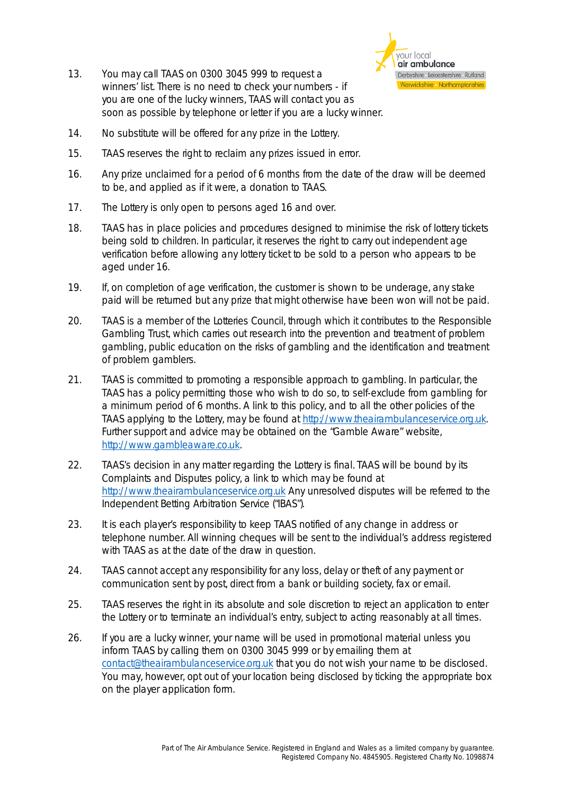13. You may call TAAS on 0300 3045 999 to request a winners' list. There is no need to check your numbers - if you are one of the lucky winners, TAAS will contact you as soon as possible by telephone or letter if you are a lucky winner.



- 14. No substitute will be offered for any prize in the Lottery.
- 15. TAAS reserves the right to reclaim any prizes issued in error.
- 16. Any prize unclaimed for a period of 6 months from the date of the draw will be deemed to be, and applied as if it were, a donation to TAAS.
- 17. The Lottery is only open to persons aged 16 and over.
- 18. TAAS has in place policies and procedures designed to minimise the risk of lottery tickets being sold to children. In particular, it reserves the right to carry out independent age verification before allowing any lottery ticket to be sold to a person who appears to be aged under 16.
- 19. If, on completion of age verification, the customer is shown to be underage, any stake paid will be returned but any prize that might otherwise have been won will not be paid.
- 20. TAAS is a member of the Lotteries Council, through which it contributes to the Responsible Gambling Trust, which carries out research into the prevention and treatment of problem gambling, public education on the risks of gambling and the identification and treatment of problem gamblers.
- 21. TAAS is committed to promoting a responsible approach to gambling. In particular, the TAAS has a policy permitting those who wish to do so, to self-exclude from gambling for a minimum period of 6 months. A link to this policy, and to all the other policies of the TAAS applying to the Lottery, may be found at [http://www.theairambulanceservice.org.uk.](http://www.theairambulanceservice.org.uk/) Further support and advice may be obtained on the "Gamble Aware" website, [http://www.gambleaware.co.uk.](http://www.gambleaware.co.uk/)
- 22. TAAS's decision in any matter regarding the Lottery is final. TAAS will be bound by its Complaints and Disputes policy, a link to which may be found at [http://www.theairambulanceservice.org.uk](http://www.theairambulanceservice.org.uk/) Any unresolved disputes will be referred to the Independent Betting Arbitration Service ("IBAS").
- 23. It is each player's responsibility to keep TAAS notified of any change in address or telephone number. All winning cheques will be sent to the individual's address registered with TAAS as at the date of the draw in question.
- 24. TAAS cannot accept any responsibility for any loss, delay or theft of any payment or communication sent by post, direct from a bank or building society, fax or email.
- 25. TAAS reserves the right in its absolute and sole discretion to reject an application to enter the Lottery or to terminate an individual's entry, subject to acting reasonably at all times.
- 26. If you are a lucky winner, your name will be used in promotional material unless you inform TAAS by calling them on 0300 3045 999 or by emailing them at [contact@theairambulanceservice.org.uk](mailto:contact@theairambulanceservice.org.uk) that you do not wish your name to be disclosed. You may, however, opt out of your location being disclosed by ticking the appropriate box on the player application form.